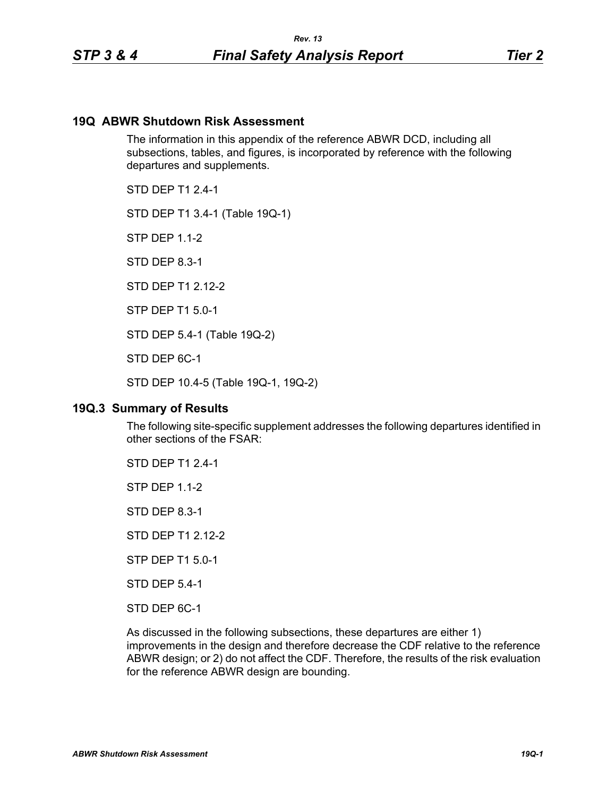## **19Q ABWR Shutdown Risk Assessment**

The information in this appendix of the reference ABWR DCD, including all subsections, tables, and figures, is incorporated by reference with the following departures and supplements.

STD DFP T1 2 4-1

STD DEP T1 3.4-1 (Table 19Q-1)

**STP DFP 1 1-2** 

STD DEP 8.3-1

STD DFP T1 2 12-2

STP DEP T1 5.0-1

STD DEP 5.4-1 (Table 19Q-2)

STD DEP 6C-1

STD DEP 10.4-5 (Table 19Q-1, 19Q-2)

### **19Q.3 Summary of Results**

The following site-specific supplement addresses the following departures identified in other sections of the FSAR:

STD DEP T1 2.4-1

STP DEP 1.1-2

STD DEP 8.3-1

STD DEP T1 2.12-2

STP DEP T1 5.0-1

STD DEP 5.4-1

STD DEP 6C-1

As discussed in the following subsections, these departures are either 1) improvements in the design and therefore decrease the CDF relative to the reference ABWR design; or 2) do not affect the CDF. Therefore, the results of the risk evaluation for the reference ABWR design are bounding.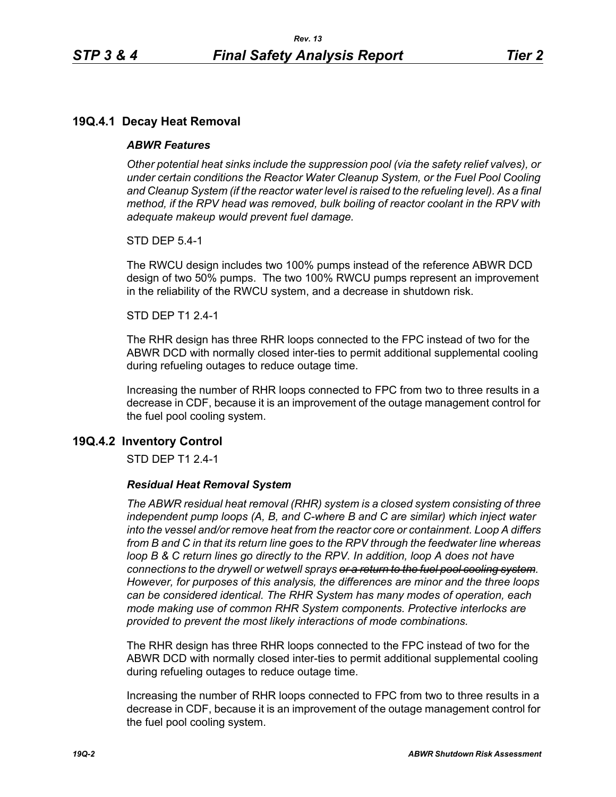# **19Q.4.1 Decay Heat Removal**

## *ABWR Features*

*Other potential heat sinks include the suppression pool (via the safety relief valves), or under certain conditions the Reactor Water Cleanup System, or the Fuel Pool Cooling*  and Cleanup System (if the reactor water level is raised to the refueling level). As a final *method, if the RPV head was removed, bulk boiling of reactor coolant in the RPV with adequate makeup would prevent fuel damage.*

STD DEP 5.4-1

The RWCU design includes two 100% pumps instead of the reference ABWR DCD design of two 50% pumps. The two 100% RWCU pumps represent an improvement in the reliability of the RWCU system, and a decrease in shutdown risk.

### STD DEP T1 2.4-1

The RHR design has three RHR loops connected to the FPC instead of two for the ABWR DCD with normally closed inter-ties to permit additional supplemental cooling during refueling outages to reduce outage time.

Increasing the number of RHR loops connected to FPC from two to three results in a decrease in CDF, because it is an improvement of the outage management control for the fuel pool cooling system.

## **19Q.4.2 Inventory Control**

STD DEP T1 2.4-1

### *Residual Heat Removal System*

*The ABWR residual heat removal (RHR) system is a closed system consisting of three independent pump loops (A, B, and C-where B and C are similar) which inject water into the vessel and/or remove heat from the reactor core or containment. Loop A differs from B and C in that its return line goes to the RPV through the feedwater line whereas loop B & C return lines go directly to the RPV. In addition, loop A does not have connections to the drywell or wetwell sprays or a return to the fuel pool cooling system. However, for purposes of this analysis, the differences are minor and the three loops can be considered identical. The RHR System has many modes of operation, each mode making use of common RHR System components. Protective interlocks are provided to prevent the most likely interactions of mode combinations.*

The RHR design has three RHR loops connected to the FPC instead of two for the ABWR DCD with normally closed inter-ties to permit additional supplemental cooling during refueling outages to reduce outage time.

Increasing the number of RHR loops connected to FPC from two to three results in a decrease in CDF, because it is an improvement of the outage management control for the fuel pool cooling system.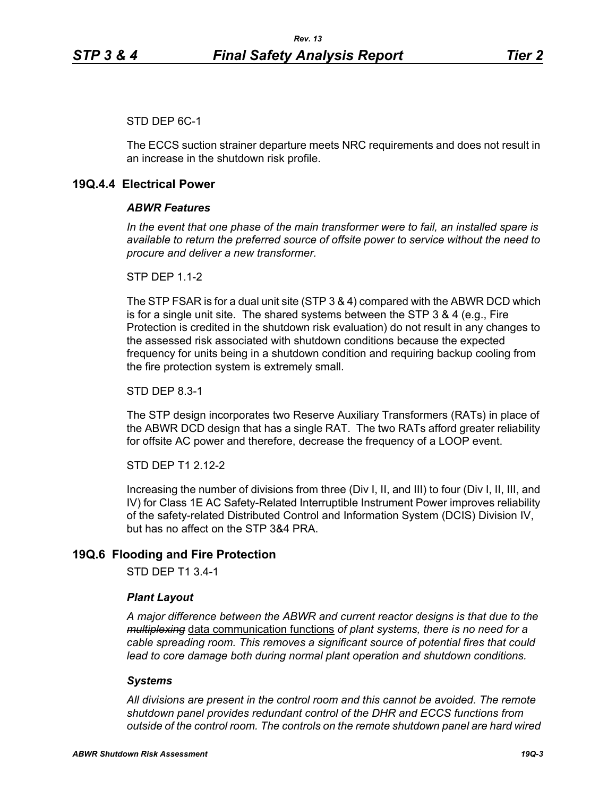## STD DEP 6C-1

The ECCS suction strainer departure meets NRC requirements and does not result in an increase in the shutdown risk profile.

# **19Q.4.4 Electrical Power**

## *ABWR Features*

*In the event that one phase of the main transformer were to fail, an installed spare is available to return the preferred source of offsite power to service without the need to procure and deliver a new transformer.*

**STP DFP 1 1-2** 

The STP FSAR is for a dual unit site (STP 3 & 4) compared with the ABWR DCD which is for a single unit site. The shared systems between the STP 3 & 4 (e.g., Fire Protection is credited in the shutdown risk evaluation) do not result in any changes to the assessed risk associated with shutdown conditions because the expected frequency for units being in a shutdown condition and requiring backup cooling from the fire protection system is extremely small.

STD DEP 8.3-1

The STP design incorporates two Reserve Auxiliary Transformers (RATs) in place of the ABWR DCD design that has a single RAT. The two RATs afford greater reliability for offsite AC power and therefore, decrease the frequency of a LOOP event.

STD DEP T1 2.12-2

Increasing the number of divisions from three (Div I, II, and III) to four (Div I, II, III, and IV) for Class 1E AC Safety-Related Interruptible Instrument Power improves reliability of the safety-related Distributed Control and Information System (DCIS) Division IV, but has no affect on the STP 3&4 PRA.

## **19Q.6 Flooding and Fire Protection**

STD DEP T1 3.4-1

### *Plant Layout*

*A major difference between the ABWR and current reactor designs is that due to the multiplexing* data communication functions *of plant systems, there is no need for a cable spreading room. This removes a significant source of potential fires that could lead to core damage both during normal plant operation and shutdown conditions.*

## *Systems*

*All divisions are present in the control room and this cannot be avoided. The remote shutdown panel provides redundant control of the DHR and ECCS functions from outside of the control room. The controls on the remote shutdown panel are hard wired*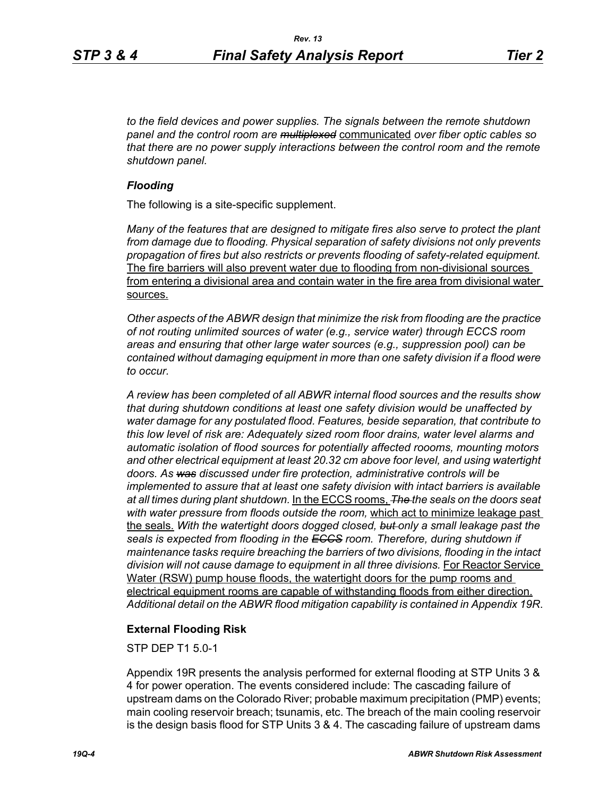*to the field devices and power supplies. The signals between the remote shutdown panel and the control room are multiplexed* communicated *over fiber optic cables so that there are no power supply interactions between the control room and the remote shutdown panel.*

## *Flooding*

The following is a site-specific supplement.

*Many of the features that are designed to mitigate fires also serve to protect the plant from damage due to flooding. Physical separation of safety divisions not only prevents propagation of fires but also restricts or prevents flooding of safety-related equipment.*  The fire barriers will also prevent water due to flooding from non-divisional sources from entering a divisional area and contain water in the fire area from divisional water sources.

*Other aspects of the ABWR design that minimize the risk from flooding are the practice of not routing unlimited sources of water (e.g., service water) through ECCS room areas and ensuring that other large water sources (e.g., suppression pool) can be contained without damaging equipment in more than one safety division if a flood were to occur.*

*A review has been completed of all ABWR internal flood sources and the results show that during shutdown conditions at least one safety division would be unaffected by water damage for any postulated flood. Features, beside separation, that contribute to this low level of risk are: Adequately sized room floor drains, water level alarms and automatic isolation of flood sources for potentially affected roooms, mounting motors and other electrical equipment at least 20.32 cm above foor level, and using watertight doors. As was discussed under fire protection, administrative controls will be implemented to assure that at least one safety division with intact barriers is available at all times during plant shutdown.* In the ECCS rooms, *The the seals on the doors seat with water pressure from floods outside the room,* which act to minimize leakage past the seals. *With the watertight doors dogged closed, but only a small leakage past the seals is expected from flooding in the ECCS room. Therefore, during shutdown if maintenance tasks require breaching the barriers of two divisions, flooding in the intact*  division will not cause damage to equipment in all three divisions. For Reactor Service Water (RSW) pump house floods, the watertight doors for the pump rooms and electrical equipment rooms are capable of withstanding floods from either direction. *Additional detail on the ABWR flood mitigation capability is contained in Appendix 19R*.

## **External Flooding Risk**

STP DEP T1 5.0-1

Appendix 19R presents the analysis performed for external flooding at STP Units 3 & 4 for power operation. The events considered include: The cascading failure of upstream dams on the Colorado River; probable maximum precipitation (PMP) events; main cooling reservoir breach; tsunamis, etc. The breach of the main cooling reservoir is the design basis flood for STP Units 3 & 4. The cascading failure of upstream dams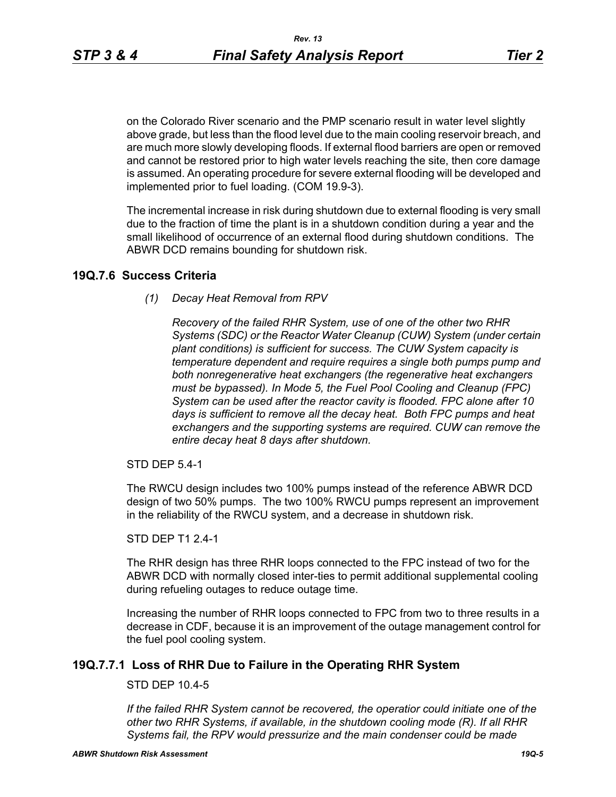on the Colorado River scenario and the PMP scenario result in water level slightly above grade, but less than the flood level due to the main cooling reservoir breach, and are much more slowly developing floods. If external flood barriers are open or removed and cannot be restored prior to high water levels reaching the site, then core damage is assumed. An operating procedure for severe external flooding will be developed and implemented prior to fuel loading. (COM 19.9-3).

The incremental increase in risk during shutdown due to external flooding is very small due to the fraction of time the plant is in a shutdown condition during a year and the small likelihood of occurrence of an external flood during shutdown conditions. The ABWR DCD remains bounding for shutdown risk.

## **19Q.7.6 Success Criteria**

*(1) Decay Heat Removal from RPV*

*Recovery of the failed RHR System, use of one of the other two RHR Systems (SDC) or the Reactor Water Cleanup (CUW) System (under certain plant conditions) is sufficient for success. The CUW System capacity is temperature dependent and require requires a single both pumps pump and both nonregenerative heat exchangers (the regenerative heat exchangers must be bypassed). In Mode 5, the Fuel Pool Cooling and Cleanup (FPC) System can be used after the reactor cavity is flooded. FPC alone after 10 days is sufficient to remove all the decay heat. Both FPC pumps and heat exchangers and the supporting systems are required. CUW can remove the entire decay heat 8 days after shutdown.*

STD DEP 5.4-1

The RWCU design includes two 100% pumps instead of the reference ABWR DCD design of two 50% pumps. The two 100% RWCU pumps represent an improvement in the reliability of the RWCU system, and a decrease in shutdown risk.

STD DEP T1 2.4-1

The RHR design has three RHR loops connected to the FPC instead of two for the ABWR DCD with normally closed inter-ties to permit additional supplemental cooling during refueling outages to reduce outage time.

Increasing the number of RHR loops connected to FPC from two to three results in a decrease in CDF, because it is an improvement of the outage management control for the fuel pool cooling system.

## **19Q.7.7.1 Loss of RHR Due to Failure in the Operating RHR System**

## STD DEP 10.4-5

*If the failed RHR System cannot be recovered, the operatior could initiate one of the other two RHR Systems, if available, in the shutdown cooling mode (R). If all RHR Systems fail, the RPV would pressurize and the main condenser could be made*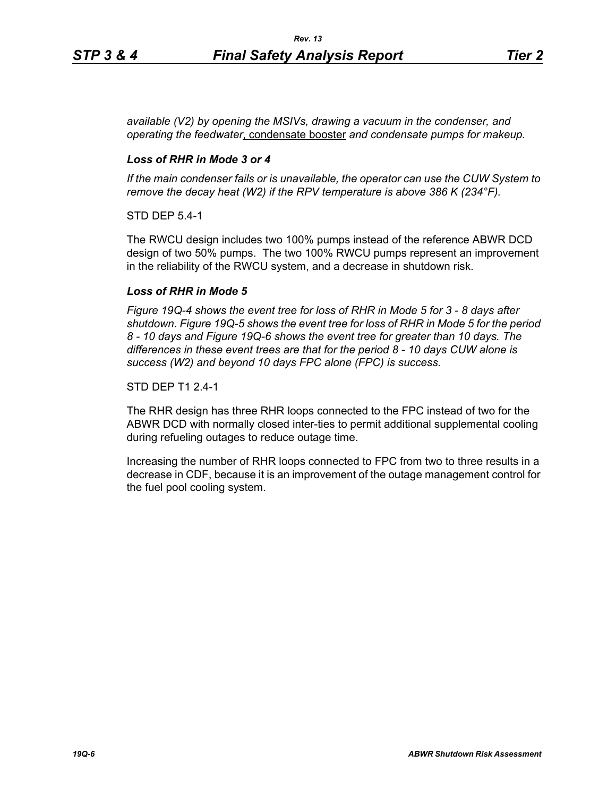*available (V2) by opening the MSIVs, drawing a vacuum in the condenser, and operating the feedwater*, condensate booster *and condensate pumps for makeup.*

## *Loss of RHR in Mode 3 or 4*

*If the main condenser fails or is unavailable, the operator can use the CUW System to remove the decay heat (W2) if the RPV temperature is above 386 K (234°F).*

STD DEP 5.4-1

The RWCU design includes two 100% pumps instead of the reference ABWR DCD design of two 50% pumps. The two 100% RWCU pumps represent an improvement in the reliability of the RWCU system, and a decrease in shutdown risk.

### *Loss of RHR in Mode 5*

*Figure 19Q-4 shows the event tree for loss of RHR in Mode 5 for 3 - 8 days after shutdown. Figure 19Q-5 shows the event tree for loss of RHR in Mode 5 for the period 8 - 10 days and Figure 19Q-6 shows the event tree for greater than 10 days. The differences in these event trees are that for the period 8 - 10 days CUW alone is success (W2) and beyond 10 days FPC alone (FPC) is success.*

#### STD DEP T1 2.4-1

The RHR design has three RHR loops connected to the FPC instead of two for the ABWR DCD with normally closed inter-ties to permit additional supplemental cooling during refueling outages to reduce outage time.

Increasing the number of RHR loops connected to FPC from two to three results in a decrease in CDF, because it is an improvement of the outage management control for the fuel pool cooling system.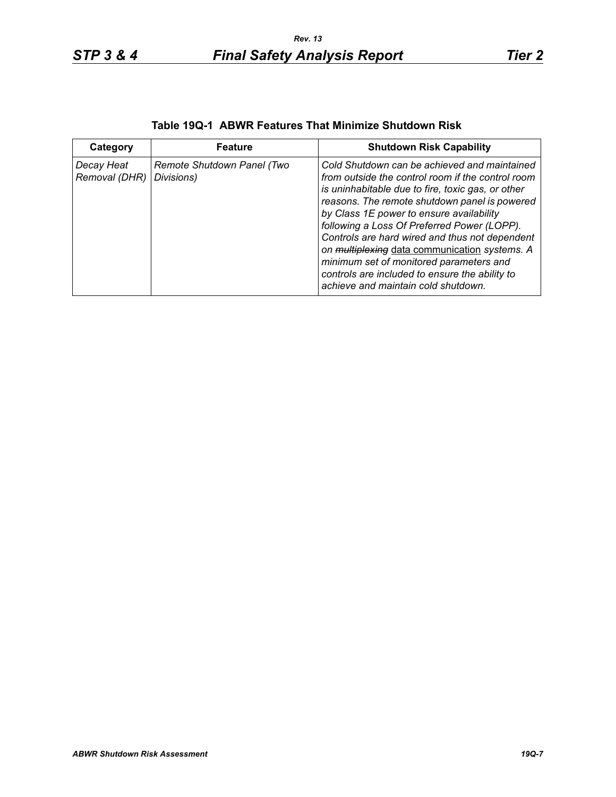| Category                    | <b>Feature</b>                           | <b>Shutdown Risk Capability</b>                                                                                                                                                                                                                                                                                                                                                                                                                                                                                                           |
|-----------------------------|------------------------------------------|-------------------------------------------------------------------------------------------------------------------------------------------------------------------------------------------------------------------------------------------------------------------------------------------------------------------------------------------------------------------------------------------------------------------------------------------------------------------------------------------------------------------------------------------|
| Decay Heat<br>Removal (DHR) | Remote Shutdown Panel (Two<br>Divisions) | Cold Shutdown can be achieved and maintained<br>from outside the control room if the control room<br>is uninhabitable due to fire, toxic gas, or other<br>reasons. The remote shutdown panel is powered<br>by Class 1E power to ensure availability<br>following a Loss Of Preferred Power (LOPP).<br>Controls are hard wired and thus not dependent<br>on multiplexing data communication systems. A<br>minimum set of monitored parameters and<br>controls are included to ensure the ability to<br>achieve and maintain cold shutdown. |

# **Table 19Q-1 ABWR Features That Minimize Shutdown Risk**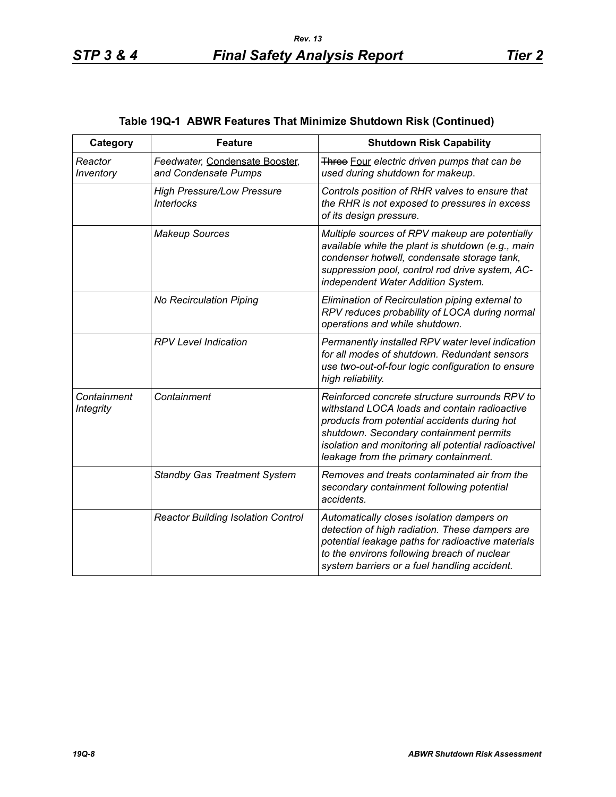| Category                        | <b>Feature</b>                                         | <b>Shutdown Risk Capability</b>                                                                                                                                                                                                                                                           |
|---------------------------------|--------------------------------------------------------|-------------------------------------------------------------------------------------------------------------------------------------------------------------------------------------------------------------------------------------------------------------------------------------------|
| Reactor<br>Inventory            | Feedwater, Condensate Booster,<br>and Condensate Pumps | Three Four electric driven pumps that can be<br>used during shutdown for makeup.                                                                                                                                                                                                          |
|                                 | <b>High Pressure/Low Pressure</b><br><b>Interlocks</b> | Controls position of RHR valves to ensure that<br>the RHR is not exposed to pressures in excess<br>of its design pressure.                                                                                                                                                                |
|                                 | <b>Makeup Sources</b>                                  | Multiple sources of RPV makeup are potentially<br>available while the plant is shutdown (e.g., main<br>condenser hotwell, condensate storage tank,<br>suppression pool, control rod drive system, AC-<br>independent Water Addition System.                                               |
|                                 | <b>No Recirculation Piping</b>                         | Elimination of Recirculation piping external to<br>RPV reduces probability of LOCA during normal<br>operations and while shutdown.                                                                                                                                                        |
|                                 | <b>RPV Level Indication</b>                            | Permanently installed RPV water level indication<br>for all modes of shutdown. Redundant sensors<br>use two-out-of-four logic configuration to ensure<br>high reliability.                                                                                                                |
| Containment<br><b>Integrity</b> | Containment                                            | Reinforced concrete structure surrounds RPV to<br>withstand LOCA loads and contain radioactive<br>products from potential accidents during hot<br>shutdown. Secondary containment permits<br>isolation and monitoring all potential radioactivel<br>leakage from the primary containment. |
|                                 | <b>Standby Gas Treatment System</b>                    | Removes and treats contaminated air from the<br>secondary containment following potential<br>accidents.                                                                                                                                                                                   |
|                                 | <b>Reactor Building Isolation Control</b>              | Automatically closes isolation dampers on<br>detection of high radiation. These dampers are<br>potential leakage paths for radioactive materials<br>to the environs following breach of nuclear<br>system barriers or a fuel handling accident.                                           |

# **Table 19Q-1 ABWR Features That Minimize Shutdown Risk (Continued)**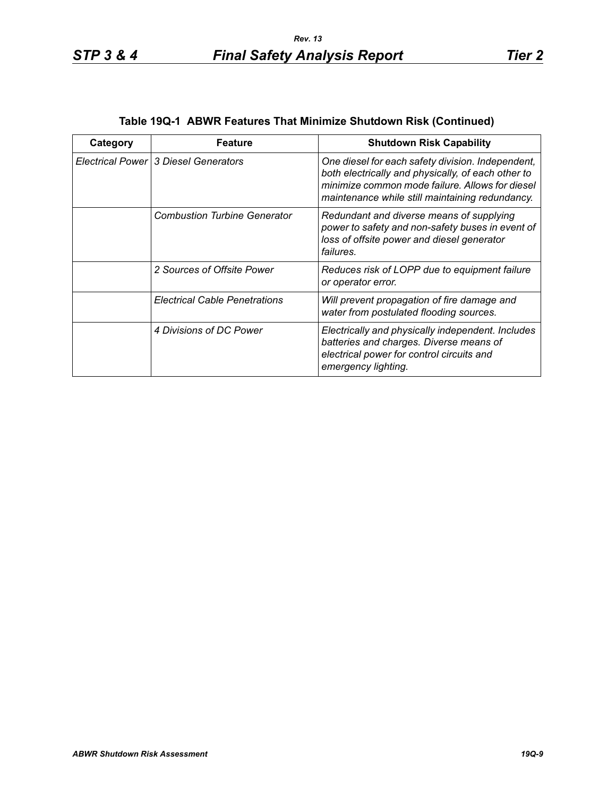| Category | <b>Feature</b>                       | <b>Shutdown Risk Capability</b>                                                                                                                                                                               |
|----------|--------------------------------------|---------------------------------------------------------------------------------------------------------------------------------------------------------------------------------------------------------------|
|          | Electrical Power 3 Diesel Generators | One diesel for each safety division. Independent,<br>both electrically and physically, of each other to<br>minimize common mode failure. Allows for diesel<br>maintenance while still maintaining redundancy. |
|          | <b>Combustion Turbine Generator</b>  | Redundant and diverse means of supplying<br>power to safety and non-safety buses in event of<br>loss of offsite power and diesel generator<br>failures.                                                       |
|          | 2 Sources of Offsite Power           | Reduces risk of LOPP due to equipment failure<br>or operator error.                                                                                                                                           |
|          | <b>Electrical Cable Penetrations</b> | Will prevent propagation of fire damage and<br>water from postulated flooding sources.                                                                                                                        |
|          | 4 Divisions of DC Power              | Electrically and physically independent. Includes<br>batteries and charges. Diverse means of<br>electrical power for control circuits and<br>emergency lighting.                                              |

## **Table 19Q-1 ABWR Features That Minimize Shutdown Risk (Continued)**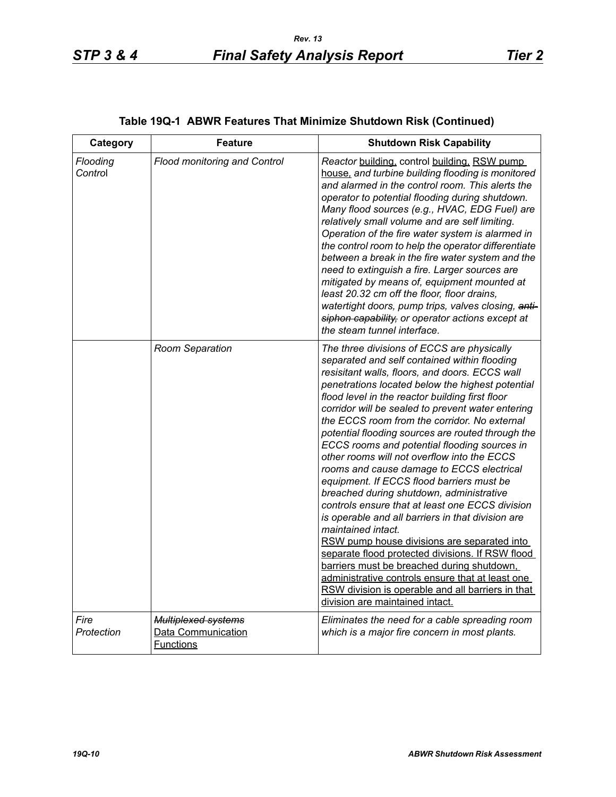| Category            | <b>Feature</b>                                                       | <b>Shutdown Risk Capability</b>                                                                                                                                                                                                                                                                                                                                                                                                                                                                                                                                                                                                                                                                                                                                                                                                                                                                                                                                                                                                                                               |
|---------------------|----------------------------------------------------------------------|-------------------------------------------------------------------------------------------------------------------------------------------------------------------------------------------------------------------------------------------------------------------------------------------------------------------------------------------------------------------------------------------------------------------------------------------------------------------------------------------------------------------------------------------------------------------------------------------------------------------------------------------------------------------------------------------------------------------------------------------------------------------------------------------------------------------------------------------------------------------------------------------------------------------------------------------------------------------------------------------------------------------------------------------------------------------------------|
| Flooding<br>Control | <b>Flood monitoring and Control</b>                                  | Reactor building, control building, RSW pump<br>house, and turbine building flooding is monitored<br>and alarmed in the control room. This alerts the<br>operator to potential flooding during shutdown.<br>Many flood sources (e.g., HVAC, EDG Fuel) are<br>relatively small volume and are self limiting.<br>Operation of the fire water system is alarmed in<br>the control room to help the operator differentiate<br>between a break in the fire water system and the<br>need to extinguish a fire. Larger sources are<br>mitigated by means of, equipment mounted at<br>least 20.32 cm off the floor, floor drains,<br>watertight doors, pump trips, valves closing, anti-<br>siphon capability, or operator actions except at<br>the steam tunnel interface.                                                                                                                                                                                                                                                                                                           |
|                     | Room Separation                                                      | The three divisions of ECCS are physically<br>separated and self contained within flooding<br>resisitant walls, floors, and doors. ECCS wall<br>penetrations located below the highest potential<br>flood level in the reactor building first floor<br>corridor will be sealed to prevent water entering<br>the ECCS room from the corridor. No external<br>potential flooding sources are routed through the<br>ECCS rooms and potential flooding sources in<br>other rooms will not overflow into the ECCS<br>rooms and cause damage to ECCS electrical<br>equipment. If ECCS flood barriers must be<br>breached during shutdown, administrative<br>controls ensure that at least one ECCS division<br>is operable and all barriers in that division are<br>maintained intact.<br>RSW pump house divisions are separated into<br>separate flood protected divisions. If RSW flood<br>barriers must be breached during shutdown.<br>administrative controls ensure that at least one<br>RSW division is operable and all barriers in that<br>division are maintained intact. |
| Fire<br>Protection  | <b>Multiplexed systems</b><br>Data Communication<br><b>Functions</b> | Eliminates the need for a cable spreading room<br>which is a major fire concern in most plants.                                                                                                                                                                                                                                                                                                                                                                                                                                                                                                                                                                                                                                                                                                                                                                                                                                                                                                                                                                               |

# **Table 19Q-1 ABWR Features That Minimize Shutdown Risk (Continued)**